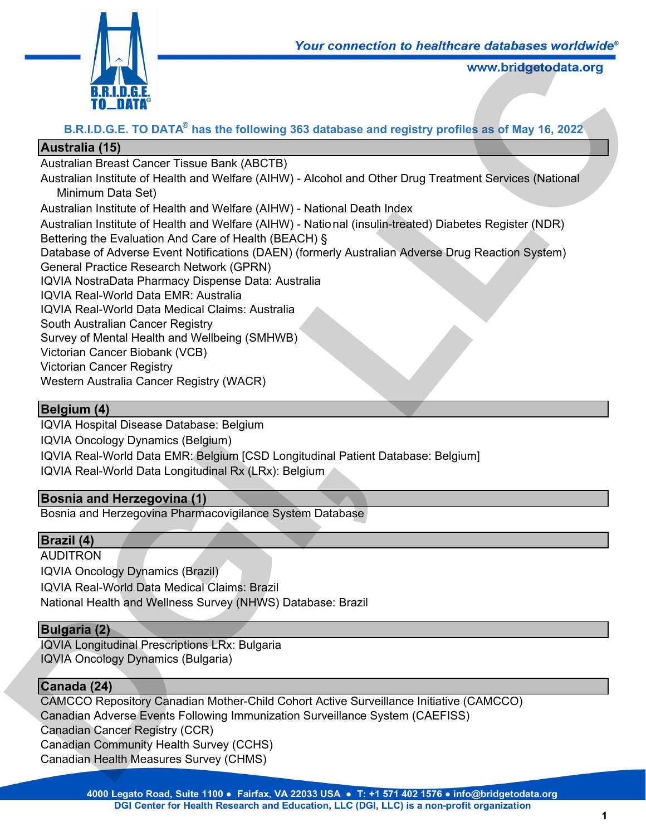

# **B.R.I.D.G.E. TO DATA® has the following 363 database and registry profiles as of May 16, 2022**

# **Australia (15)**

Australian Breast Cancer Tissue Bank (ABCTB)

Australian Institute of Health and Welfare (AIHW) - Alcohol and Other Drug Treatment Services (National Minimum Data Set) Four connection to nealthcare databases worldwide<br>www.bridgetodata.org<br>S3 database and registry profiles as of May 16, 2022<br>Alcohol and Other Drug Treatment Services (National<br>National Death Index<br>National (insulin-treated

Australian Institute of Health and Welfare (AIHW) - National Death Index

Australian Institute of Health and Welfare (AIHW) - National (insulin-treated) Diabetes Register (NDR) Bettering the Evaluation And Care of Health (BEACH) §

Database of Adverse Event Notifications (DAEN) (formerly Australian Adverse Drug Reaction System) General Practice Research Network (GPRN)

IQVIA NostraData Pharmacy Dispense Data: Australia

IQVIA Real-World Data EMR: Australia

IQVIA Real-World Data Medical Claims: Australia

South Australian Cancer Registry

Survey of Mental Health and Wellbeing (SMHWB)

Victorian Cancer Biobank (VCB)

Victorian Cancer Registry

Western Australia Cancer Registry (WACR)

# **Belgium (4)**

IQVIA Hospital Disease Database: Belgium IQVIA Oncology Dynamics (Belgium) IQVIA Real-World Data EMR: Belgium [CSD Longitudinal Patient Database: Belgium] IQVIA Real-World Data Longitudinal Rx (LRx): Belgium

# **Bosnia and Herzegovina (1)**

Bosnia and Herzegovina Pharmacovigilance System Database

# **Brazil (4)**

**AUDITRON** IQVIA Oncology Dynamics (Brazil) IQVIA Real-World Data Medical Claims: Brazil National Health and Wellness Survey (NHWS) Database: Brazil

# **Bulgaria (2)**

IQVIA Longitudinal Prescriptions LRx: Bulgaria IQVIA Oncology Dynamics (Bulgaria)

# **Canada (24)**

CAMCCO Repository Canadian Mother-Child Cohort Active Surveillance Initiative (CAMCCO) Canadian Adverse Events Following Immunization Surveillance System (CAEFISS) Canadian Cancer Registry (CCR) Canadian Community Health Survey (CCHS) Canadian Health Measures Survey (CHMS) IQVIA Oncology Dynamics (Belgium)<br>
IQVIA Real-World Data EMR: Belgium [CSD Longitudinal Patient Databas<br>
IQVIA Real-World Data Longitudinal Rx (LRx): Belgium<br> **Bosnia and Herzegovina (1)**<br>
Bosnia and Herzegovina Pharmacovi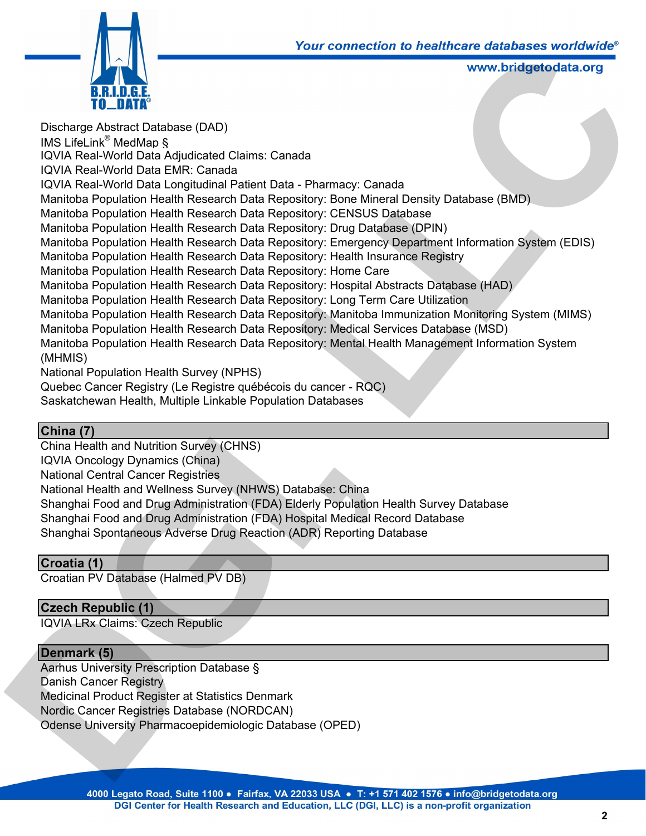

Discharge Abstract Database (DAD) IMS LifeLink® MedMap § IQVIA Real-World Data Adjudicated Claims: Canada IQVIA Real-World Data EMR: Canada IQVIA Real-World Data Longitudinal Patient Data - Pharmacy: Canada Manitoba Population Health Research Data Repository: Bone Mineral Density Database (BMD) Manitoba Population Health Research Data Repository: CENSUS Database Manitoba Population Health Research Data Repository: Drug Database (DPIN) Manitoba Population Health Research Data Repository: Emergency Department Information System (EDIS) Manitoba Population Health Research Data Repository: Health Insurance Registry Manitoba Population Health Research Data Repository: Home Care Manitoba Population Health Research Data Repository: Hospital Abstracts Database (HAD) Manitoba Population Health Research Data Repository: Long Term Care Utilization Manitoba Population Health Research Data Repository: Manitoba Immunization Monitoring System (MIMS) Manitoba Population Health Research Data Repository: Medical Services Database (MSD) Manitoba Population Health Research Data Repository: Mental Health Management Information System (MHMIS) National Population Health Survey (NPHS) Quebec Cancer Registry (Le Registre québécois du cancer - RQC) **Four Connection to nealthcare databases worrowing<br>
www.bridgetodata.org<br>
www.bridgetodata.org<br>
data<br>
LICCC SISUS Database<br>
Intoy: CENSUS Database (DMD)<br>
LICCC CINSUS Database (DPIN)<br>
LICCCC: Henry Department Information S** 

Saskatchewan Health, Multiple Linkable Population Databases

## **China (7)**

China Health and Nutrition Survey (CHNS) IQVIA Oncology Dynamics (China) National Central Cancer Registries National Health and Wellness Survey (NHWS) Database: China Shanghai Food and Drug Administration (FDA) Elderly Population Health Survey Database Shanghai Food and Drug Administration (FDA) Hospital Medical Record Database Shanghai Spontaneous Adverse Drug Reaction (ADR) Reporting Database **China Health and Nutrition Survey (CHNS)**<br>
China Health and Nutrition Survey (CHNS)<br>
National Central Cancer Registries<br>
National Health and Wellness Survey (NHWS) Database: China<br>
National Health and Wellness Survey (NHW

## **Croatia (1)**

Croatian PV Database (Halmed PV DB)

## **Czech Republic (1)**

IQVIA LRx Claims: Czech Republic

### **Denmark (5)**

Aarhus University Prescription Database § Danish Cancer Registry Medicinal Product Register at Statistics Denmark Nordic Cancer Registries Database (NORDCAN) Odense University Pharmacoepidemiologic Database (OPED)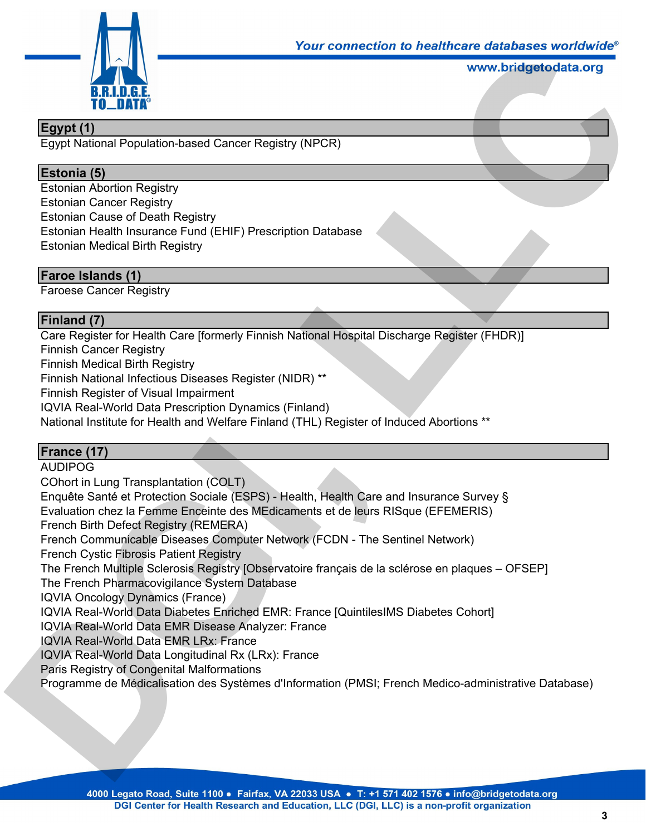

# **Egypt (1)**

Egypt National Population-based Cancer Registry (NPCR)

### **Estonia (5)**

Estonian Abortion Registry Estonian Cancer Registry Estonian Cause of Death Registry Estonian Health Insurance Fund (EHIF) Prescription Database Estonian Medical Birth Registry

### **Faroe Islands (1)**

Faroese Cancer Registry

## **Finland (7)**

Care Register for Health Care [formerly Finnish National Hospital Discharge Register (FHDR)] Finnish Cancer Registry Finnish Medical Birth Registry Finnish National Infectious Diseases Register (NIDR) \*\* Finnish Register of Visual Impairment IQVIA Real-World Data Prescription Dynamics (Finland) National Institute for Health and Welfare Finland (THL) Register of Induced Abortions \*\* Four connection to healthcare databases worldwide<br>www.bridgetodata.org<br>(NPCR)<br>on Database<br>and Hospital Discharge Register (FHDR)]<br>NR) \*\*

### **France (17)**

AUDIPOG

COhort in Lung Transplantation (COLT) Enquête Santé et Protection Sociale (ESPS) - Health, Health Care and Insurance Survey § Evaluation chez la Femme Enceinte des MEdicaments et de leurs RISque (EFEMERIS) French Birth Defect Registry (REMERA) French Communicable Diseases Computer Network (FCDN - The Sentinel Network) French Cystic Fibrosis Patient Registry The French Multiple Sclerosis Registry [Observatoire français de la sclérose en plaques – OFSEP] The French Pharmacovigilance System Database IQVIA Oncology Dynamics (France) IQVIA Real-World Data Diabetes Enriched EMR: France [QuintilesIMS Diabetes Cohort] IQVIA Real-World Data EMR Disease Analyzer: France IQVIA Real-World Data EMR LRx: France IQVIA Real-World Data Longitudinal Rx (LRx): France Paris Registry of Congenital Malformations Programme de Médicalisation des Systèmes d'Information (PMSI; French Medico-administrative Database) **France (17)**<br>AUDIPOG<br>COhort in Lung Transplantation (COLT)<br>Enquête Santé et Protection Sociale (ESPS) - Health, Health Care and Ins<br>Evaluation chez la Femme Enceinte des MEdicaments et de leurs RISque<br>French Dirth Defect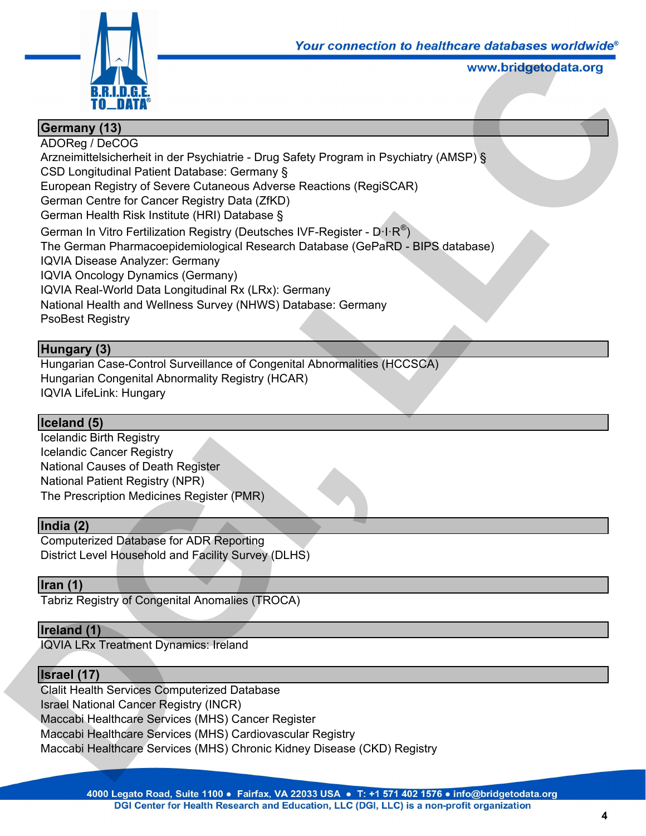

# **Germany (13)**

ADOReg / DeCOG Arzneimittelsicherheit in der Psychiatrie - Drug Safety Program in Psychiatry (AMSP) § CSD Longitudinal Patient Database: Germany § European Registry of Severe Cutaneous Adverse Reactions (RegiSCAR) German Centre for Cancer Registry Data (ZfKD) German Health Risk Institute (HRI) Database § German In Vitro Fertilization Registry (Deutsches IVF-Register - D $\cdot$ I $\cdot$ R $^{\circledast})$ The German Pharmacoepidemiological Research Database (GePaRD - BIPS database) IQVIA Disease Analyzer: Germany IQVIA Oncology Dynamics (Germany) IQVIA Real-World Data Longitudinal Rx (LRx): Germany National Health and Wellness Survey (NHWS) Database: Germany PsoBest Registry Four connection to nealthcare databases worldwide<br>
www.bridgetodata.org<br>
Lety Program in Psychiatry (AMSP) §<br>
Reactions (RegiSCAR)<br>
VF-Register - D·I·R<sup>®</sup>)<br>
Database (GePaRD - BIPS database)<br>
rmany<br>
Thany<br>
Reactions (Ferma

## **Hungary (3)**

Hungarian Case-Control Surveillance of Congenital Abnormalities (HCCSCA) Hungarian Congenital Abnormality Registry (HCAR) IQVIA LifeLink: Hungary

### **Iceland (5)**

Icelandic Birth Registry Icelandic Cancer Registry National Causes of Death Register National Patient Registry (NPR) The Prescription Medicines Register (PMR)

### **India (2)**

Computerized Database for ADR Reporting District Level Household and Facility Survey (DLHS)

### **Iran (1)**

Tabriz Registry of Congenital Anomalies (TROCA)

### **Ireland (1)**

IQVIA LRx Treatment Dynamics: Ireland

## **Israel (17)**

Clalit Health Services Computerized Database Israel National Cancer Registry (INCR) Maccabi Healthcare Services (MHS) Cancer Register Maccabi Healthcare Services (MHS) Cardiovascular Registry Maccabi Healthcare Services (MHS) Chronic Kidney Disease (CKD) Registry Icelandic Birth Registry<br>
Icelandic Cancer Registry<br>
National Causes of Death Register<br>
National Patient Registry<br>
The Prescription Medicines Register (PMR)<br> **India (2)**<br>
Computerized Database for ADR Reporting<br>
District L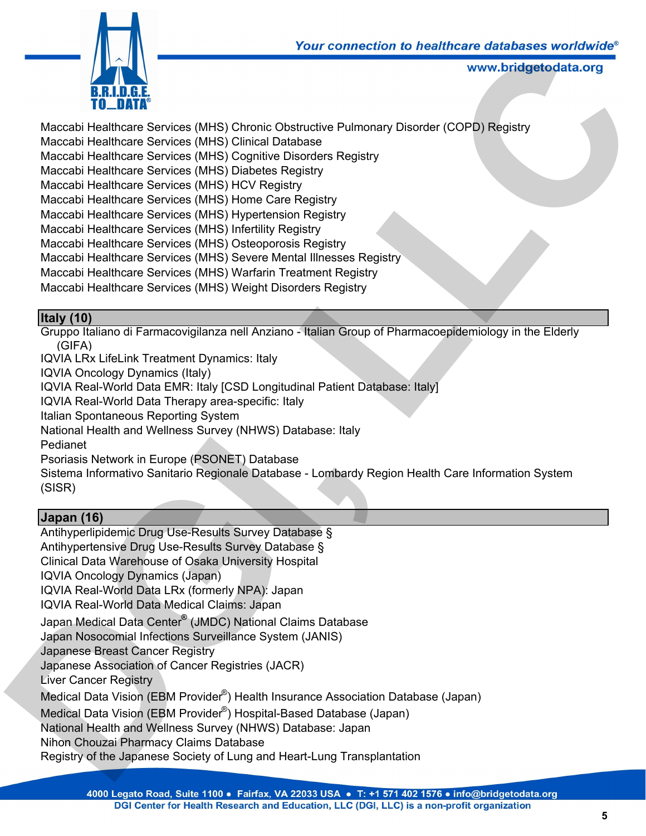

Maccabi Healthcare Services (MHS) Chronic Obstructive Pulmonary Disorder (COPD) Registry Maccabi Healthcare Services (MHS) Clinical Database Maccabi Healthcare Services (MHS) Cognitive Disorders Registry Maccabi Healthcare Services (MHS) Diabetes Registry Maccabi Healthcare Services (MHS) HCV Registry Maccabi Healthcare Services (MHS) Home Care Registry Maccabi Healthcare Services (MHS) Hypertension Registry Maccabi Healthcare Services (MHS) Infertility Registry Maccabi Healthcare Services (MHS) Osteoporosis Registry Maccabi Healthcare Services (MHS) Severe Mental Illnesses Registry Maccabi Healthcare Services (MHS) Warfarin Treatment Registry Maccabi Healthcare Services (MHS) Weight Disorders Registry **LACATE THE CONDUCT CONDUCT CONDUCT CONDUCT CONDUCT CONDUCT THE VERTILE THE VERTILE THE VERTILE THE SAME THE SAME SAME DATA THE SAME DATA THE SAME SEGRISTLY<br>
LACATE SAME SEGRISTLY<br>
LACATE SAME SAME SAME SAME SAME SAME SAME** 

# **Italy (10)**

Gruppo Italiano di Farmacovigilanza nell Anziano - Italian Group of Pharmacoepidemiology in the Elderly (GIFA)

IQVIA LRx LifeLink Treatment Dynamics: Italy IQVIA Oncology Dynamics (Italy) IQVIA Real-World Data EMR: Italy [CSD Longitudinal Patient Database: Italy] IQVIA Real-World Data Therapy area-specific: Italy Italian Spontaneous Reporting System National Health and Wellness Survey (NHWS) Database: Italy Pedianet Psoriasis Network in Europe (PSONET) Database Sistema Informativo Sanitario Regionale Database - Lombardy Region Health Care Information System (SISR)

# **Japan (16)**

Antihyperlipidemic Drug Use-Results Survey Database § Antihypertensive Drug Use-Results Survey Database § Clinical Data Warehouse of Osaka University Hospital IQVIA Oncology Dynamics (Japan) IQVIA Real-World Data LRx (formerly NPA): Japan IQVIA Real-World Data Medical Claims: Japan Japan Medical Data Center**®** (JMDC) National Claims Database Japan Nosocomial Infections Surveillance System (JANIS) Japanese Breast Cancer Registry Japanese Association of Cancer Registries (JACR) Liver Cancer Registry Medical Data Vision (EBM Provider®) Health Insurance Association Database (Japan) Medical Data Vision (EBM Provider® ) Hospital-Based Database (Japan) National Health and Wellness Survey (NHWS) Database: Japan Nihon Chouzai Pharmacy Claims Database Registry of the Japanese Society of Lung and Heart-Lung Transplantation Naturial Heatur antu wellness Survey (INTWS) Database. Italy<br>
Pedianet<br>
Psoriasis Network in Europe (PSONET) Database<br>
Sistema Informativo Sanitario Regionale Database - Lombardy Region He<br>
(SISR)<br> **Japan (16)**<br>
Antihypert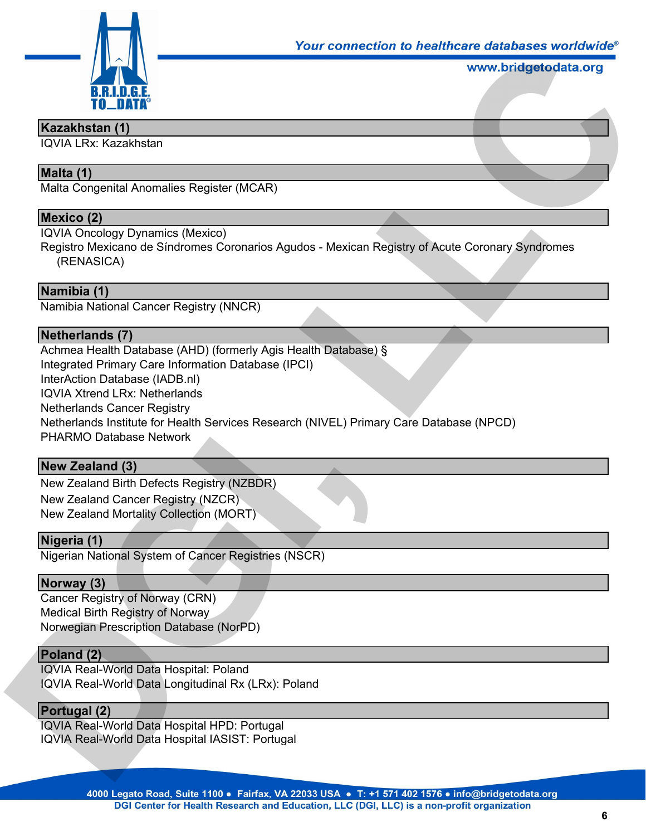

### **Kazakhstan (1)**

IQVIA LRx: Kazakhstan

# **Malta (1)**

Malta Congenital Anomalies Register (MCAR)

### **Mexico (2)**

IQVIA Oncology Dynamics (Mexico)

Registro Mexicano de Síndromes Coronarios Agudos - Mexican Registry of Acute Coronary Syndromes (RENASICA)

### **Namibia (1)**

Namibia National Cancer Registry (NNCR)

### **Netherlands (7)**

Achmea Health Database (AHD) (formerly Agis Health Database) § Integrated Primary Care Information Database (IPCI) InterAction Database (IADB.nl) IQVIA Xtrend LRx: Netherlands Netherlands Cancer Registry Netherlands Institute for Health Services Research (NIVEL) Primary Care Database (NPCD) PHARMO Database Network Four connection to healthcare databases worldwide<br>www.bridgetodata.org<br>dos - Mexican Registry of Acute Coronary Syndromes<br>alth Database) §

### **New Zealand (3)**

New Zealand Birth Defects Registry (NZBDR) New Zealand Cancer Registry (NZCR) New Zealand Mortality Collection (MORT) PHARMO Database Network<br> **New Zealand (3)**<br>
New Zealand Birth Defects Registry (NZBDR)<br>
New Zealand Cancer Registry (NZCR)<br>
New Zealand Mortality Collection (MORT)<br> **Nigeria (1)**<br>
Nigerian National System of Cancer Registr

### **Nigeria (1)**

Nigerian National System of Cancer Registries (NSCR)

### **Norway (3)**

Cancer Registry of Norway (CRN) Medical Birth Registry of Norway Norwegian Prescription Database (NorPD)

### **Poland (2)**

IQVIA Real-World Data Hospital: Poland IQVIA Real-World Data Longitudinal Rx (LRx): Poland

### **Portugal (2)**

IQVIA Real-World Data Hospital HPD: Portugal IQVIA Real-World Data Hospital IASIST: Portugal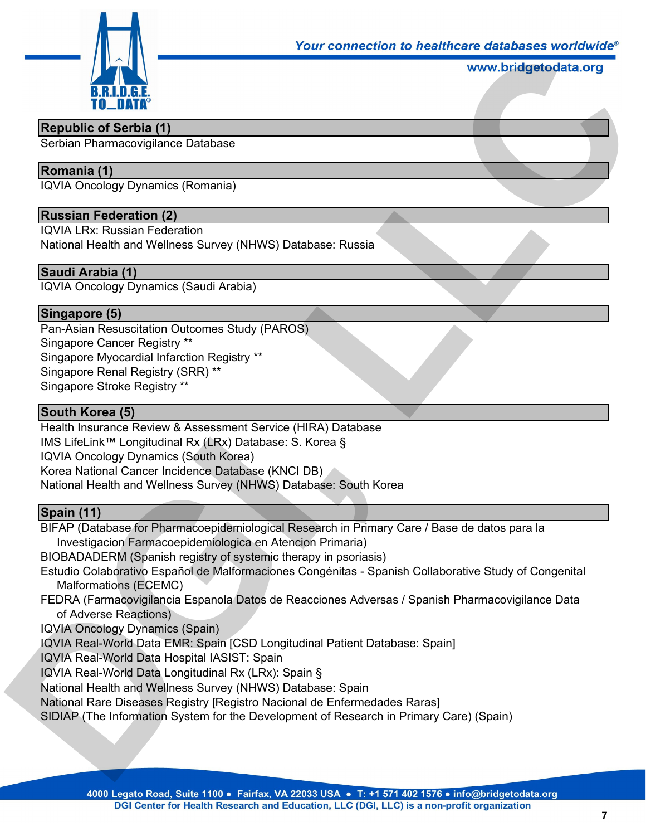

### **Republic of Serbia (1)**

Serbian Pharmacovigilance Database

# **Romania (1)**

IQVIA Oncology Dynamics (Romania)

### **Russian Federation (2)**

IQVIA LRx: Russian Federation

National Health and Wellness Survey (NHWS) Database: Russia

### **Saudi Arabia (1)**

IQVIA Oncology Dynamics (Saudi Arabia)

### **Singapore (5)**

Pan-Asian Resuscitation Outcomes Study (PAROS) Singapore Cancer Registry \*\* Singapore Myocardial Infarction Registry \*\* Singapore Renal Registry (SRR) \*\* Singapore Stroke Registry \*\*

### **South Korea (5)**

Health Insurance Review & Assessment Service (HIRA) Database IMS LifeLink™ Longitudinal Rx (LRx) Database: S. Korea § IQVIA Oncology Dynamics (South Korea) Korea National Cancer Incidence Database (KNCI DB) National Health and Wellness Survey (NHWS) Database: South Korea IMS LifeLink<sup>mu</sup> Longitudinal Rx (LRx) Database: S. Korea §<br>
IQVIA Oncology Dynamics (South Korea)<br>
Korea National Cancer Incidence Database (KNCI DB)<br>
National Health and Wellness Survey (NHWS) Database: South Korea<br>
Nati

### **Spain (11)**

BIFAP (Database for Pharmacoepidemiological Research in Primary Care / Base de datos para la Investigacion Farmacoepidemiologica en Atencion Primaria)

BIOBADADERM (Spanish registry of systemic therapy in psoriasis)

- Estudio Colaborativo Español de Malformaciones Congénitas Spanish Collaborative Study of Congenital Malformations (ECEMC)
- FEDRA (Farmacovigilancia Espanola Datos de Reacciones Adversas / Spanish Pharmacovigilance Data of Adverse Reactions)
- IQVIA Oncology Dynamics (Spain)

IQVIA Real-World Data EMR: Spain [CSD Longitudinal Patient Database: Spain]

IQVIA Real-World Data Hospital IASIST: Spain

IQVIA Real-World Data Longitudinal Rx (LRx): Spain §

National Health and Wellness Survey (NHWS) Database: Spain

National Rare Diseases Registry [Registro Nacional de Enfermedades Raras]

SIDIAP (The Information System for the Development of Research in Primary Care) (Spain)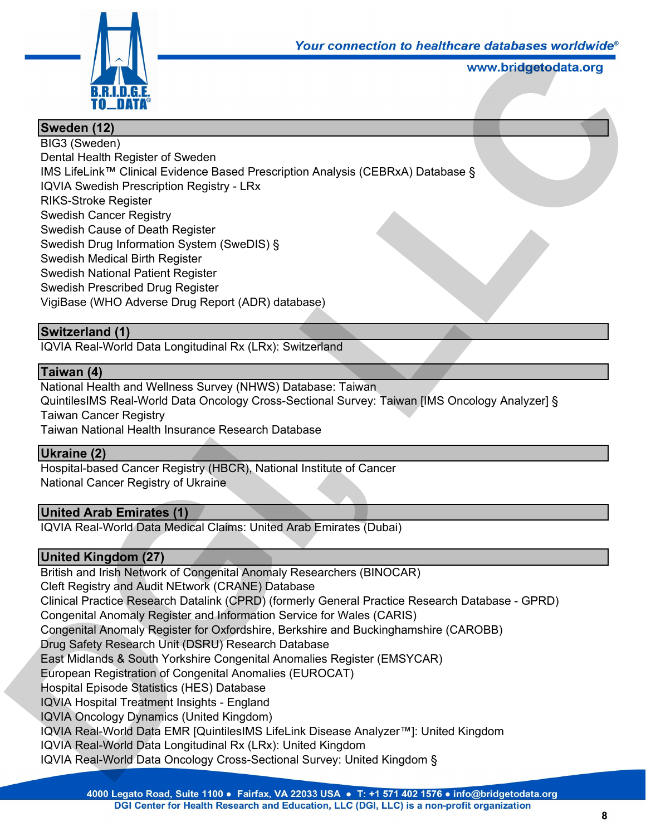

# **Sweden (12)**

BIG3 (Sweden) Dental Health Register of Sweden IMS LifeLink™ Clinical Evidence Based Prescription Analysis (CEBRxA) Database § IQVIA Swedish Prescription Registry - LRx RIKS-Stroke Register Swedish Cancer Registry Swedish Cause of Death Register Swedish Drug Information System (SweDIS) § Swedish Medical Birth Register Swedish National Patient Register Swedish Prescribed Drug Register VigiBase (WHO Adverse Drug Report (ADR) database) our connection to nealthcare databases worldwide<br>www.bridgetodata.org<br>www.bridgetodata.org<br>Discrement<br>Manage: Taiwan<br>Literland<br>Rabase: Taiwan<br>Cional Survey: Taiwan [IMS Oncology Analyzer] §

## **Switzerland (1)**

IQVIA Real-World Data Longitudinal Rx (LRx): Switzerland

### **Taiwan (4)**

National Health and Wellness Survey (NHWS) Database: Taiwan QuintilesIMS Real-World Data Oncology Cross-Sectional Survey: Taiwan [IMS Oncology Analyzer] § Taiwan Cancer Registry Taiwan National Health Insurance Research Database

### **Ukraine (2)**

Hospital-based Cancer Registry (HBCR), National Institute of Cancer National Cancer Registry of Ukraine

## **United Arab Emirates (1)**

IQVIA Real-World Data Medical Claims: United Arab Emirates (Dubai)

### **United Kingdom (27)**

British and Irish Network of Congenital Anomaly Researchers (BINOCAR) Cleft Registry and Audit NEtwork (CRANE) Database Clinical Practice Research Datalink (CPRD) (formerly General Practice Research Database - GPRD) Congenital Anomaly Register and Information Service for Wales (CARIS) Congenital Anomaly Register for Oxfordshire, Berkshire and Buckinghamshire (CAROBB) Drug Safety Research Unit (DSRU) Research Database East Midlands & South Yorkshire Congenital Anomalies Register (EMSYCAR) European Registration of Congenital Anomalies (EUROCAT) Hospital Episode Statistics (HES) Database IQVIA Hospital Treatment Insights - England IQVIA Oncology Dynamics (United Kingdom) IQVIA Real-World Data EMR [QuintilesIMS LifeLink Disease Analyzer™]: United Kingdom IQVIA Real-World Data Longitudinal Rx (LRx): United Kingdom IQVIA Real-World Data Oncology Cross-Sectional Survey: United Kingdom § Tawan Pacional Freadin Instalance Research Database<br> **Ukraine (2)**<br>
Hospital-based Cancer Registry (HBCR), National Institute of Cancer<br>
Nospital-based Cancer Registry of Ukraine<br> **United Arab Emirates (1)**<br> **Durited Arab**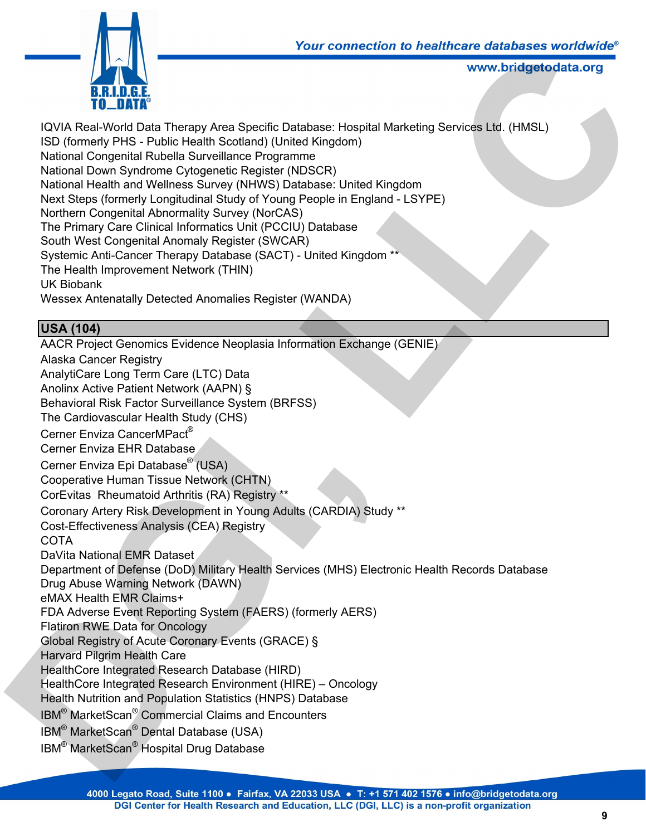

IQVIA Real-World Data Therapy Area Specific Database: Hospital Marketing Services Ltd. (HMSL) ISD (formerly PHS - Public Health Scotland) (United Kingdom) National Congenital Rubella Surveillance Programme National Down Syndrome Cytogenetic Register (NDSCR) National Health and Wellness Survey (NHWS) Database: United Kingdom Next Steps (formerly Longitudinal Study of Young People in England - LSYPE) Northern Congenital Abnormality Survey (NorCAS) The Primary Care Clinical Informatics Unit (PCCIU) Database South West Congenital Anomaly Register (SWCAR) Systemic Anti-Cancer Therapy Database (SACT) - United Kingdom \*\* The Health Improvement Network (THIN) UK Biobank Wessex Antenatally Detected Anomalies Register (WANDA) Tour connection to nealthcare databases worldwide<br>
www.bridgetodata.org<br>
me<br>
mac<br>
database: Hospital Marketing Services Ltd. (HMSL)<br>
DSCR)<br>
DSCR)<br>
Database<br>
People in England - LSYPE)<br>
Database<br>
R)<br>
United Kingdom \*\*<br>
(WAN

# **USA (104)**

AACR Project Genomics Evidence Neoplasia Information Exchange (GENIE) Alaska Cancer Registry AnalytiCare Long Term Care (LTC) Data Anolinx Active Patient Network (AAPN) § Behavioral Risk Factor Surveillance System (BRFSS) The Cardiovascular Health Study (CHS) Cerner Enviza CancerMPact® Cerner Enviza EHR Database Cerner Enviza Epi Database® (USA) Cooperative Human Tissue Network (CHTN) CorEvitas Rheumatoid Arthritis (RA) Registry \*\* Coronary Artery Risk Development in Young Adults (CARDIA) Study \*\* Cost-Effectiveness Analysis (CEA) Registry **COTA** DaVita National EMR Dataset Department of Defense (DoD) Military Health Services (MHS) Electronic Health Records Database Drug Abuse Warning Network (DAWN) eMAX Health EMR Claims+ FDA Adverse Event Reporting System (FAERS) (formerly AERS) Flatiron RWE Data for Oncology Global Registry of Acute Coronary Events (GRACE) § Harvard Pilgrim Health Care HealthCore Integrated Research Database (HIRD) HealthCore Integrated Research Environment (HIRE) – Oncology Health Nutrition and Population Statistics (HNPS) Database IBM<sup>®</sup> MarketScan<sup>®</sup> Commercial Claims and Encounters IBM® MarketScan® Dental Database (USA) IBM® MarketScan® Hospital Drug Database Cerner Enviza CancerMPact<sup>®</sup><br>Cerner Exviza EHR Database<br>Cerner Enviza EHR Database<br>Cerner Enviza Epi Database<sup>®</sup> (USA)<br>CorSu'tas Rheumatoid Arthritis (RA) Registry \*\*<br>Corsumy Artery Risk Development in Young Adults (CARDIA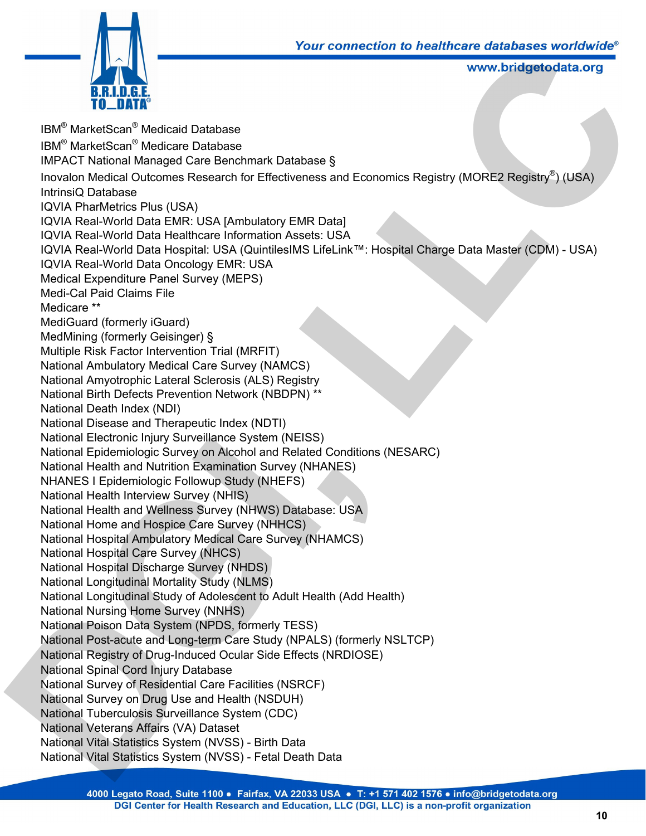

IBM® MarketScan® Medicaid Database IBM® MarketScan® Medicare Database IMPACT National Managed Care Benchmark Database § Inovalon Medical Outcomes Research for Effectiveness and Economics Registry (MORE2 Registry®) (USA) IntrinsiQ Database IQVIA PharMetrics Plus (USA) IQVIA Real-World Data EMR: USA [Ambulatory EMR Data] IQVIA Real-World Data Healthcare Information Assets: USA IQVIA Real-World Data Hospital: USA (QuintilesIMS LifeLink™: Hospital Charge Data Master (CDM) - USA) IQVIA Real-World Data Oncology EMR: USA Medical Expenditure Panel Survey (MEPS) Medi-Cal Paid Claims File Medicare \*\* MediGuard (formerly iGuard) MedMining (formerly Geisinger) § Multiple Risk Factor Intervention Trial (MRFIT) National Ambulatory Medical Care Survey (NAMCS) National Amyotrophic Lateral Sclerosis (ALS) Registry National Birth Defects Prevention Network (NBDPN) \*\* National Death Index (NDI) National Disease and Therapeutic Index (NDTI) National Electronic Injury Surveillance System (NEISS) National Epidemiologic Survey on Alcohol and Related Conditions (NESARC) National Health and Nutrition Examination Survey (NHANES) NHANES I Epidemiologic Followup Study (NHEFS) National Health Interview Survey (NHIS) National Health and Wellness Survey (NHWS) Database: USA National Home and Hospice Care Survey (NHHCS) National Hospital Ambulatory Medical Care Survey (NHAMCS) National Hospital Care Survey (NHCS) National Hospital Discharge Survey (NHDS) National Longitudinal Mortality Study (NLMS) National Longitudinal Study of Adolescent to Adult Health (Add Health) National Nursing Home Survey (NNHS) National Poison Data System (NPDS, formerly TESS) National Post-acute and Long-term Care Study (NPALS) (formerly NSLTCP) National Registry of Drug-Induced Ocular Side Effects (NRDIOSE) National Spinal Cord Injury Database National Survey of Residential Care Facilities (NSRCF) National Survey on Drug Use and Health (NSDUH) National Tuberculosis Surveillance System (CDC) National Veterans Affairs (VA) Dataset National Vital Statistics System (NVSS) - Birth Data National Vital Statistics System (NVSS) - Fetal Death Data National Electronic Injury Surveillance System (NEISS)<br>National Epidemiologic Survey on Acohol and Related Conditions (NESAI<br>National Health and Nutrition Examination Survey (NHANES)<br>NHANES I Epidemiologic Followup Study ( *Lour connection to nealthcare databases worldwide*<br>
www.bridgetodata.org<br>
www.bridgetodata.org<br>
shess and Economics Registry (MORE2 Registry®) (USA)<br>
MR Data]<br>
sets: USA<br>
IS LifeLink™: Hospital Charge Data Master (CDM) -